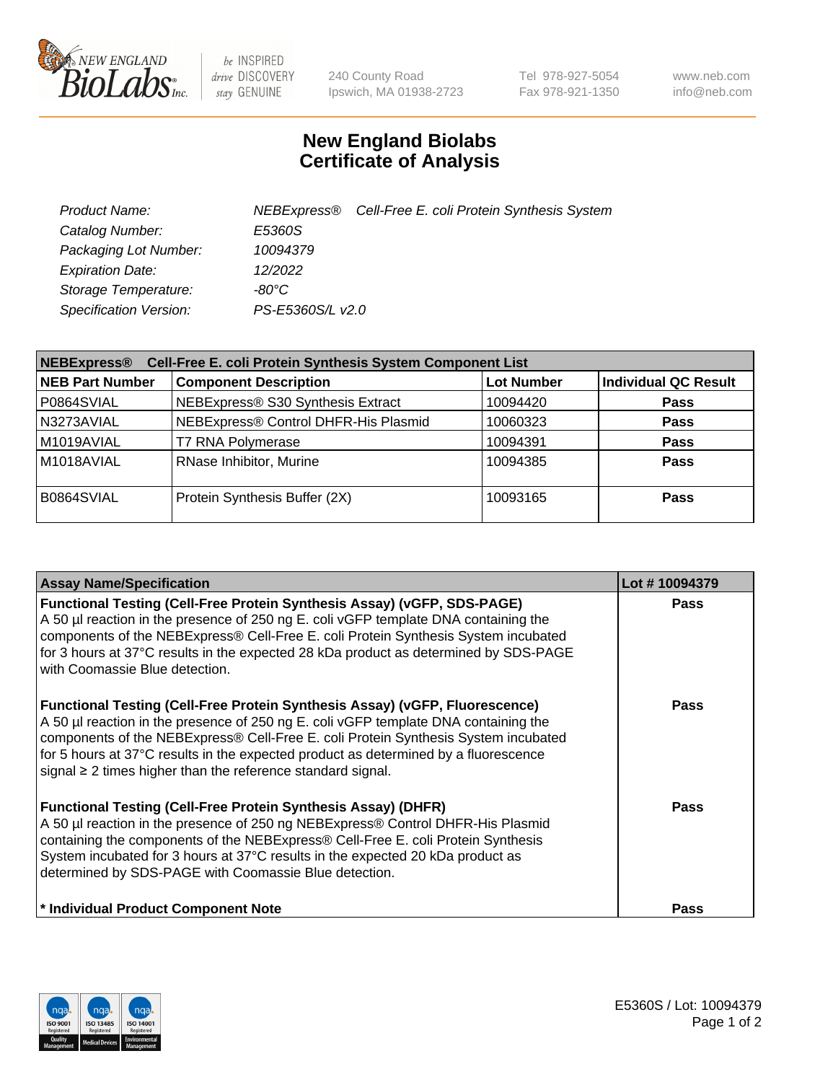

 $be$  INSPIRED drive DISCOVERY stay GENUINE

240 County Road Ipswich, MA 01938-2723 Tel 978-927-5054 Fax 978-921-1350 www.neb.com info@neb.com

## **New England Biolabs Certificate of Analysis**

| Product Name:           |                  | NEBExpress® Cell-Free E. coli Protein Synthesis System |
|-------------------------|------------------|--------------------------------------------------------|
| Catalog Number:         | E5360S           |                                                        |
| Packaging Lot Number:   | 10094379         |                                                        |
| <b>Expiration Date:</b> | 12/2022          |                                                        |
| Storage Temperature:    | $-80^{\circ}$ C  |                                                        |
| Specification Version:  | PS-E5360S/L v2.0 |                                                        |

| Cell-Free E. coli Protein Synthesis System Component List<br><b>NEBExpress®</b> |                                      |                   |                             |  |
|---------------------------------------------------------------------------------|--------------------------------------|-------------------|-----------------------------|--|
| <b>NEB Part Number</b>                                                          | <b>Component Description</b>         | <b>Lot Number</b> | <b>Individual QC Result</b> |  |
| P0864SVIAL                                                                      | NEBExpress® S30 Synthesis Extract    | 10094420          | <b>Pass</b>                 |  |
| N3273AVIAL                                                                      | NEBExpress® Control DHFR-His Plasmid | 10060323          | <b>Pass</b>                 |  |
| M1019AVIAL                                                                      | <b>T7 RNA Polymerase</b>             | 10094391          | <b>Pass</b>                 |  |
| M1018AVIAL                                                                      | RNase Inhibitor, Murine              | 10094385          | <b>Pass</b>                 |  |
| B0864SVIAL                                                                      | Protein Synthesis Buffer (2X)        | 10093165          | <b>Pass</b>                 |  |

| <b>Assay Name/Specification</b>                                                                                                                                                                                                                                                                                                                                                                                     | Lot #10094379 |
|---------------------------------------------------------------------------------------------------------------------------------------------------------------------------------------------------------------------------------------------------------------------------------------------------------------------------------------------------------------------------------------------------------------------|---------------|
| <b>Functional Testing (Cell-Free Protein Synthesis Assay) (vGFP, SDS-PAGE)</b><br>A 50 µl reaction in the presence of 250 ng E. coli vGFP template DNA containing the<br>components of the NEBExpress® Cell-Free E. coli Protein Synthesis System incubated<br>for 3 hours at 37°C results in the expected 28 kDa product as determined by SDS-PAGE<br>with Coomassie Blue detection.                               | <b>Pass</b>   |
| Functional Testing (Cell-Free Protein Synthesis Assay) (vGFP, Fluorescence)<br>A 50 µl reaction in the presence of 250 ng E. coli vGFP template DNA containing the<br>components of the NEBExpress® Cell-Free E. coli Protein Synthesis System incubated<br>for 5 hours at 37°C results in the expected product as determined by a fluorescence<br>signal $\geq$ 2 times higher than the reference standard signal. | <b>Pass</b>   |
| <b>Functional Testing (Cell-Free Protein Synthesis Assay) (DHFR)</b><br>A 50 µl reaction in the presence of 250 ng NEBExpress® Control DHFR-His Plasmid<br>containing the components of the NEBExpress® Cell-Free E. coli Protein Synthesis<br>System incubated for 3 hours at 37°C results in the expected 20 kDa product as<br>determined by SDS-PAGE with Coomassie Blue detection.                              | Pass          |
| * Individual Product Component Note                                                                                                                                                                                                                                                                                                                                                                                 | <b>Pass</b>   |